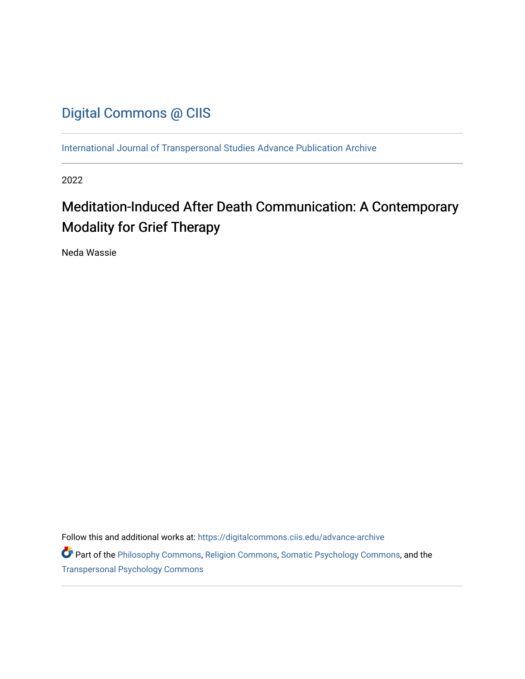## [Digital Commons @ CIIS](https://digitalcommons.ciis.edu/)

[International Journal of Transpersonal Studies Advance Publication Archive](https://digitalcommons.ciis.edu/advance-archive)

2022

# Meditation-Induced After Death Communication: A Contemporary Modality for Grief Therapy

Neda Wassie

Follow this and additional works at: [https://digitalcommons.ciis.edu/advance-archive](https://digitalcommons.ciis.edu/advance-archive?utm_source=digitalcommons.ciis.edu%2Fadvance-archive%2F35&utm_medium=PDF&utm_campaign=PDFCoverPages)

Part of the [Philosophy Commons,](https://network.bepress.com/hgg/discipline/525?utm_source=digitalcommons.ciis.edu%2Fadvance-archive%2F35&utm_medium=PDF&utm_campaign=PDFCoverPages) [Religion Commons,](https://network.bepress.com/hgg/discipline/538?utm_source=digitalcommons.ciis.edu%2Fadvance-archive%2F35&utm_medium=PDF&utm_campaign=PDFCoverPages) [Somatic Psychology Commons,](https://network.bepress.com/hgg/discipline/1431?utm_source=digitalcommons.ciis.edu%2Fadvance-archive%2F35&utm_medium=PDF&utm_campaign=PDFCoverPages) and the [Transpersonal Psychology Commons](https://network.bepress.com/hgg/discipline/1388?utm_source=digitalcommons.ciis.edu%2Fadvance-archive%2F35&utm_medium=PDF&utm_campaign=PDFCoverPages)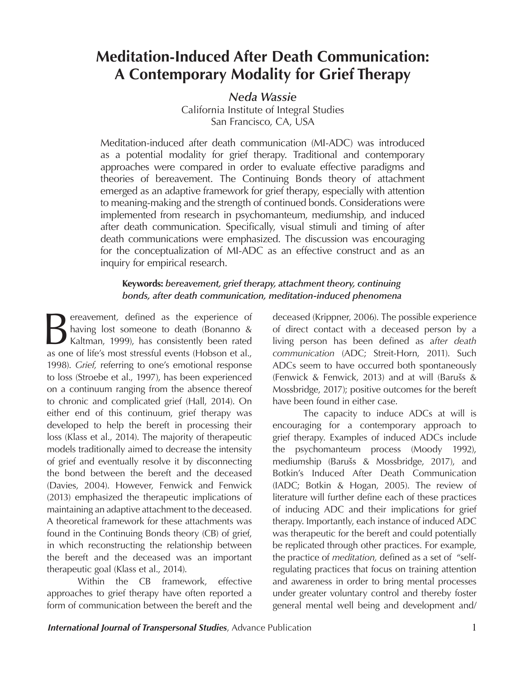# **Meditation-Induced After Death Communication: A Contemporary Modality for Grief Therapy**

*Neda Wassie*

California Institute of Integral Studies San Francisco, CA, USA

Meditation-induced after death communication (MI-ADC) was introduced as a potential modality for grief therapy. Traditional and contemporary approaches were compared in order to evaluate effective paradigms and theories of bereavement. The Continuing Bonds theory of attachment emerged as an adaptive framework for grief therapy, especially with attention to meaning-making and the strength of continued bonds. Considerations were implemented from research in psychomanteum, mediumship, and induced after death communication. Specifically, visual stimuli and timing of after death communications were emphasized. The discussion was encouraging for the conceptualization of MI-ADC as an effective construct and as an inquiry for empirical research.

### **Keywords:** *bereavement, grief therapy, attachment theory, continuing bonds, after death communication, meditation-induced phenomena*

**Bereavement**, defined as the experience of having lost someone to death (Bonanno & Kaltman, 1999), has consistently been rated as one of life's most stressful events (Hobson et al. having lost someone to death (Bonanno & Kaltman, 1999), has consistently been rated as one of life's most stressful events (Hobson et al., 1998). *Grief,* referring to one's emotional response to loss (Stroebe et al., 1997), has been experienced on a continuum ranging from the absence thereof to chronic and complicated grief (Hall, 2014). On either end of this continuum, grief therapy was developed to help the bereft in processing their loss (Klass et al., 2014). The majority of therapeutic models traditionally aimed to decrease the intensity of grief and eventually resolve it by disconnecting the bond between the bereft and the deceased (Davies, 2004). However, Fenwick and Fenwick (2013) emphasized the therapeutic implications of maintaining an adaptive attachment to the deceased. A theoretical framework for these attachments was found in the Continuing Bonds theory (CB) of grief, in which reconstructing the relationship between the bereft and the deceased was an important therapeutic goal (Klass et al., 2014).

Within the CB framework, effective approaches to grief therapy have often reported a form of communication between the bereft and the

deceased (Krippner, 2006). The possible experience of direct contact with a deceased person by a living person has been defined as a*fter death communication* (ADC; Streit-Horn, 2011). Such ADCs seem to have occurred both spontaneously (Fenwick & Fenwick, 2013) and at will (Barušs & Mossbridge, 2017); positive outcomes for the bereft have been found in either case.

The capacity to induce ADCs at will is encouraging for a contemporary approach to grief therapy. Examples of induced ADCs include the psychomanteum process (Moody 1992), mediumship (Barušs & Mossbridge, 2017), and Botkin's Induced After Death Communication (IADC; Botkin & Hogan, 2005). The review of literature will further define each of these practices of inducing ADC and their implications for grief therapy. Importantly, each instance of induced ADC was therapeutic for the bereft and could potentially be replicated through other practices. For example, the practice of *meditation,* defined as a set of "selfregulating practices that focus on training attention and awareness in order to bring mental processes under greater voluntary control and thereby foster general mental well being and development and/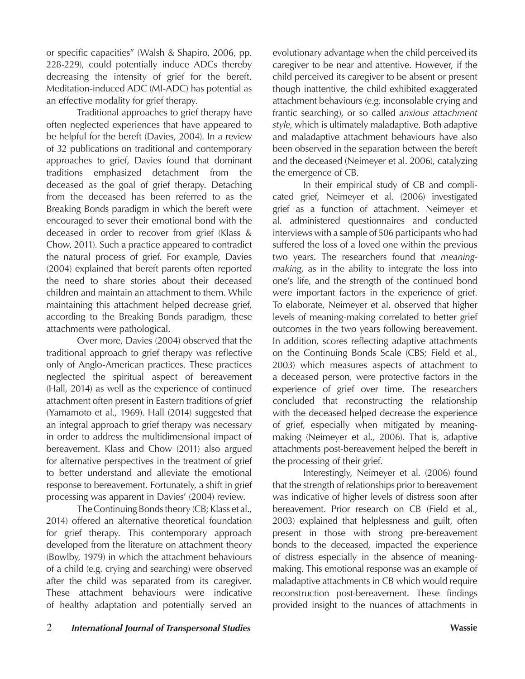or specific capacities" (Walsh & Shapiro, 2006, pp. 228-229), could potentially induce ADCs thereby decreasing the intensity of grief for the bereft. Meditation-induced ADC (MI-ADC) has potential as an effective modality for grief therapy.

Traditional approaches to grief therapy have often neglected experiences that have appeared to be helpful for the bereft (Davies, 2004). In a review of 32 publications on traditional and contemporary approaches to grief, Davies found that dominant traditions emphasized detachment from the deceased as the goal of grief therapy. Detaching from the deceased has been referred to as the Breaking Bonds paradigm in which the bereft were encouraged to sever their emotional bond with the deceased in order to recover from grief (Klass & Chow, 2011). Such a practice appeared to contradict the natural process of grief. For example, Davies (2004) explained that bereft parents often reported the need to share stories about their deceased children and maintain an attachment to them. While maintaining this attachment helped decrease grief, according to the Breaking Bonds paradigm, these attachments were pathological.

Over more, Davies (2004) observed that the traditional approach to grief therapy was reflective only of Anglo-American practices. These practices neglected the spiritual aspect of bereavement (Hall, 2014) as well as the experience of continued attachment often present in Eastern traditions of grief (Yamamoto et al., 1969). Hall (2014) suggested that an integral approach to grief therapy was necessary in order to address the multidimensional impact of bereavement. Klass and Chow (2011) also argued for alternative perspectives in the treatment of grief to better understand and alleviate the emotional response to bereavement. Fortunately, a shift in grief processing was apparent in Davies' (2004) review.

The Continuing Bonds theory (CB; Klass et al., 2014) offered an alternative theoretical foundation for grief therapy. This contemporary approach developed from the literature on attachment theory (Bowlby, 1979) in which the attachment behaviours of a child (e.g. crying and searching) were observed after the child was separated from its caregiver. These attachment behaviours were indicative of healthy adaptation and potentially served an

evolutionary advantage when the child perceived its caregiver to be near and attentive. However, if the child perceived its caregiver to be absent or present though inattentive, the child exhibited exaggerated attachment behaviours (e.g. inconsolable crying and frantic searching), or so called *anxious attachment style*, which is ultimately maladaptive. Both adaptive and maladaptive attachment behaviours have also been observed in the separation between the bereft and the deceased (Neimeyer et al. 2006), catalyzing the emergence of CB.

In their empirical study of CB and complicated grief, Neimeyer et al. (2006) investigated grief as a function of attachment. Neimeyer et al. administered questionnaires and conducted interviews with a sample of 506 participants who had suffered the loss of a loved one within the previous two years. The researchers found that *meaningmaking*, as in the ability to integrate the loss into one's life, and the strength of the continued bond were important factors in the experience of grief. To elaborate, Neimeyer et al. observed that higher levels of meaning-making correlated to better grief outcomes in the two years following bereavement. In addition, scores reflecting adaptive attachments on the Continuing Bonds Scale (CBS; Field et al., 2003) which measures aspects of attachment to a deceased person, were protective factors in the experience of grief over time. The researchers concluded that reconstructing the relationship with the deceased helped decrease the experience of grief, especially when mitigated by meaningmaking (Neimeyer et al., 2006). That is, adaptive attachments post-bereavement helped the bereft in the processing of their grief.

Interestingly, Neimeyer et al. (2006) found that the strength of relationships prior to bereavement was indicative of higher levels of distress soon after bereavement. Prior research on CB (Field et al., 2003) explained that helplessness and guilt, often present in those with strong pre-bereavement bonds to the deceased, impacted the experience of distress especially in the absence of meaningmaking. This emotional response was an example of maladaptive attachments in CB which would require reconstruction post-bereavement. These findings provided insight to the nuances of attachments in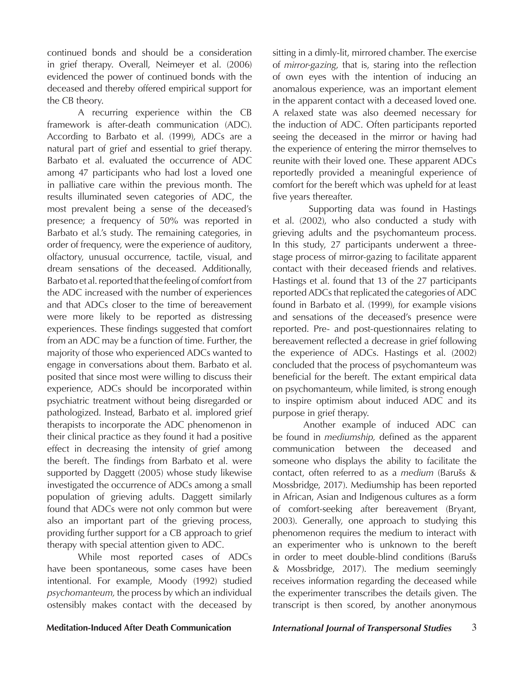continued bonds and should be a consideration in grief therapy. Overall, Neimeyer et al. (2006) evidenced the power of continued bonds with the deceased and thereby offered empirical support for the CB theory.

A recurring experience within the CB framework is after-death communication (ADC). According to Barbato et al. (1999), ADCs are a natural part of grief and essential to grief therapy. Barbato et al. evaluated the occurrence of ADC among 47 participants who had lost a loved one in palliative care within the previous month. The results illuminated seven categories of ADC, the most prevalent being a sense of the deceased's presence; a frequency of 50% was reported in Barbato et al.'s study. The remaining categories, in order of frequency, were the experience of auditory, olfactory, unusual occurrence, tactile, visual, and dream sensations of the deceased. Additionally, Barbato et al. reported that the feeling of comfort from the ADC increased with the number of experiences and that ADCs closer to the time of bereavement were more likely to be reported as distressing experiences. These findings suggested that comfort from an ADC may be a function of time. Further, the majority of those who experienced ADCs wanted to engage in conversations about them. Barbato et al. posited that since most were willing to discuss their experience, ADCs should be incorporated within psychiatric treatment without being disregarded or pathologized. Instead, Barbato et al. implored grief therapists to incorporate the ADC phenomenon in their clinical practice as they found it had a positive effect in decreasing the intensity of grief among the bereft. The findings from Barbato et al. were supported by Daggett (2005) whose study likewise investigated the occurrence of ADCs among a small population of grieving adults. Daggett similarly found that ADCs were not only common but were also an important part of the grieving process, providing further support for a CB approach to grief therapy with special attention given to ADC.

While most reported cases of ADCs have been spontaneous, some cases have been intentional. For example, Moody (1992) studied *psychomanteum,* the process by which an individual ostensibly makes contact with the deceased by sitting in a dimly-lit, mirrored chamber. The exercise of *mirror-gazing*, that is, staring into the reflection of own eyes with the intention of inducing an anomalous experience, was an important element in the apparent contact with a deceased loved one. A relaxed state was also deemed necessary for the induction of ADC. Often participants reported seeing the deceased in the mirror or having had the experience of entering the mirror themselves to reunite with their loved one. These apparent ADCs reportedly provided a meaningful experience of comfort for the bereft which was upheld for at least five years thereafter.

 Supporting data was found in Hastings et al. (2002), who also conducted a study with grieving adults and the psychomanteum process. In this study, 27 participants underwent a threestage process of mirror-gazing to facilitate apparent contact with their deceased friends and relatives. Hastings et al. found that 13 of the 27 participants reported ADCs that replicated the categories of ADC found in Barbato et al. (1999), for example visions and sensations of the deceased's presence were reported. Pre- and post-questionnaires relating to bereavement reflected a decrease in grief following the experience of ADCs. Hastings et al. (2002) concluded that the process of psychomanteum was beneficial for the bereft. The extant empirical data on psychomanteum, while limited, is strong enough to inspire optimism about induced ADC and its purpose in grief therapy.

Another example of induced ADC can be found in *mediumship,* defined as the apparent communication between the deceased and someone who displays the ability to facilitate the contact, often referred to as a *medium* (Barušs & Mossbridge, 2017). Mediumship has been reported in African, Asian and Indigenous cultures as a form of comfort-seeking after bereavement (Bryant, 2003). Generally, one approach to studying this phenomenon requires the medium to interact with an experimenter who is unknown to the bereft in order to meet double-blind conditions (Barušs & Mossbridge, 2017). The medium seemingly receives information regarding the deceased while the experimenter transcribes the details given. The transcript is then scored, by another anonymous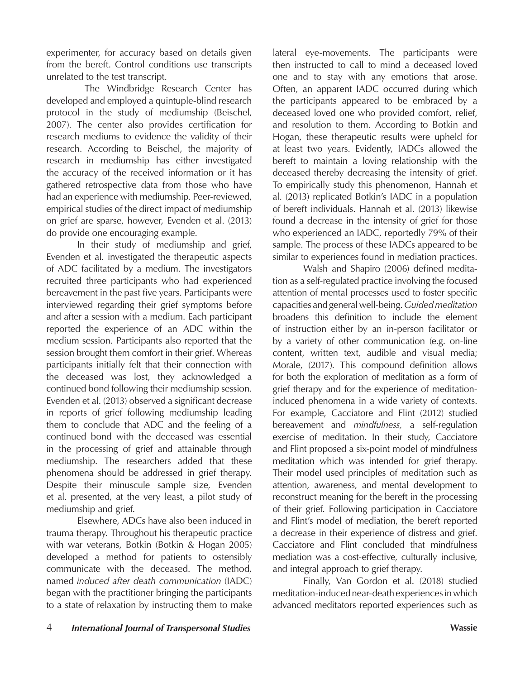experimenter, for accuracy based on details given from the bereft. Control conditions use transcripts unrelated to the test transcript.

 The Windbridge Research Center has developed and employed a quintuple-blind research protocol in the study of mediumship (Beischel, 2007). The center also provides certification for research mediums to evidence the validity of their research. According to Beischel, the majority of research in mediumship has either investigated the accuracy of the received information or it has gathered retrospective data from those who have had an experience with mediumship. Peer-reviewed, empirical studies of the direct impact of mediumship on grief are sparse, however, Evenden et al. (2013) do provide one encouraging example.

In their study of mediumship and grief, Evenden et al. investigated the therapeutic aspects of ADC facilitated by a medium. The investigators recruited three participants who had experienced bereavement in the past five years. Participants were interviewed regarding their grief symptoms before and after a session with a medium. Each participant reported the experience of an ADC within the medium session. Participants also reported that the session brought them comfort in their grief. Whereas participants initially felt that their connection with the deceased was lost, they acknowledged a continued bond following their mediumship session. Evenden et al. (2013) observed a significant decrease in reports of grief following mediumship leading them to conclude that ADC and the feeling of a continued bond with the deceased was essential in the processing of grief and attainable through mediumship. The researchers added that these phenomena should be addressed in grief therapy. Despite their minuscule sample size, Evenden et al. presented, at the very least, a pilot study of mediumship and grief.

Elsewhere, ADCs have also been induced in trauma therapy. Throughout his therapeutic practice with war veterans, Botkin (Botkin & Hogan 2005) developed a method for patients to ostensibly communicate with the deceased. The method, named *induced after death communication* (IADC) began with the practitioner bringing the participants to a state of relaxation by instructing them to make

lateral eye-movements. The participants were then instructed to call to mind a deceased loved one and to stay with any emotions that arose. Often, an apparent IADC occurred during which the participants appeared to be embraced by a deceased loved one who provided comfort, relief, and resolution to them. According to Botkin and Hogan, these therapeutic results were upheld for at least two years. Evidently, IADCs allowed the bereft to maintain a loving relationship with the deceased thereby decreasing the intensity of grief. To empirically study this phenomenon, Hannah et al. (2013) replicated Botkin's IADC in a population of bereft individuals. Hannah et al. (2013) likewise found a decrease in the intensity of grief for those who experienced an IADC, reportedly 79% of their sample. The process of these IADCs appeared to be similar to experiences found in mediation practices.

Walsh and Shapiro (2006) defined meditation as a self-regulated practice involving the focused attention of mental processes used to foster specific capacities and general well-being. *Guided meditation*  broadens this definition to include the element of instruction either by an in-person facilitator or by a variety of other communication (e.g. on-line content, written text, audible and visual media; Morale, (2017). This compound definition allows for both the exploration of meditation as a form of grief therapy and for the experience of meditationinduced phenomena in a wide variety of contexts. For example, Cacciatore and Flint (2012) studied bereavement and *mindfulness,* a self-regulation exercise of meditation. In their study, Cacciatore and Flint proposed a six-point model of mindfulness meditation which was intended for grief therapy. Their model used principles of meditation such as attention, awareness, and mental development to reconstruct meaning for the bereft in the processing of their grief. Following participation in Cacciatore and Flint's model of mediation, the bereft reported a decrease in their experience of distress and grief. Cacciatore and Flint concluded that mindfulness mediation was a cost-effective, culturally inclusive, and integral approach to grief therapy.

Finally, Van Gordon et al. (2018) studied meditation-induced near-death experiences in which advanced meditators reported experiences such as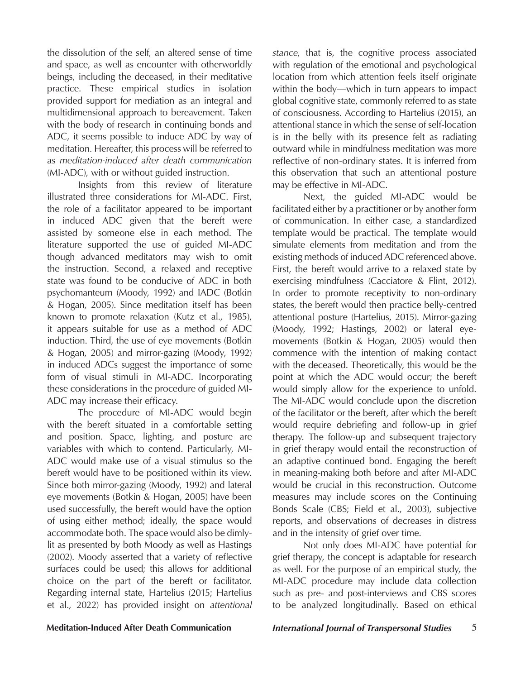the dissolution of the self, an altered sense of time and space, as well as encounter with otherworldly beings, including the deceased, in their meditative practice. These empirical studies in isolation provided support for mediation as an integral and multidimensional approach to bereavement. Taken with the body of research in continuing bonds and ADC, it seems possible to induce ADC by way of meditation. Hereafter, this process will be referred to as *meditation-induced after death communication* (MI-ADC), with or without guided instruction.

Insights from this review of literature illustrated three considerations for MI-ADC. First, the role of a facilitator appeared to be important in induced ADC given that the bereft were assisted by someone else in each method. The literature supported the use of guided MI-ADC though advanced meditators may wish to omit the instruction. Second, a relaxed and receptive state was found to be conducive of ADC in both psychomanteum (Moody, 1992) and IADC (Botkin & Hogan, 2005). Since meditation itself has been known to promote relaxation (Kutz et al., 1985), it appears suitable for use as a method of ADC induction. Third, the use of eye movements (Botkin & Hogan, 2005) and mirror-gazing (Moody, 1992) in induced ADCs suggest the importance of some form of visual stimuli in MI-ADC. Incorporating these considerations in the procedure of guided MI-ADC may increase their efficacy.

The procedure of MI-ADC would begin with the bereft situated in a comfortable setting and position. Space, lighting, and posture are variables with which to contend. Particularly, MI-ADC would make use of a visual stimulus so the bereft would have to be positioned within its view. Since both mirror-gazing (Moody, 1992) and lateral eye movements (Botkin & Hogan, 2005) have been used successfully, the bereft would have the option of using either method; ideally, the space would accommodate both. The space would also be dimlylit as presented by both Moody as well as Hastings (2002). Moody asserted that a variety of reflective surfaces could be used; this allows for additional choice on the part of the bereft or facilitator. Regarding internal state, Hartelius (2015; Hartelius et al., 2022) has provided insight on *attentional*  *stance*, that is, the cognitive process associated with regulation of the emotional and psychological location from which attention feels itself originate within the body—which in turn appears to impact global cognitive state, commonly referred to as state of consciousness. According to Hartelius (2015), an attentional stance in which the sense of self-location is in the belly with its presence felt as radiating outward while in mindfulness meditation was more reflective of non-ordinary states. It is inferred from this observation that such an attentional posture may be effective in MI-ADC.

Next, the guided MI-ADC would be facilitated either by a practitioner or by another form of communication. In either case, a standardized template would be practical. The template would simulate elements from meditation and from the existing methods of induced ADC referenced above. First, the bereft would arrive to a relaxed state by exercising mindfulness (Cacciatore & Flint, 2012). In order to promote receptivity to non-ordinary states, the bereft would then practice belly-centred attentional posture (Hartelius, 2015). Mirror-gazing (Moody, 1992; Hastings, 2002) or lateral eyemovements (Botkin & Hogan, 2005) would then commence with the intention of making contact with the deceased. Theoretically, this would be the point at which the ADC would occur; the bereft would simply allow for the experience to unfold. The MI-ADC would conclude upon the discretion of the facilitator or the bereft, after which the bereft would require debriefing and follow-up in grief therapy. The follow-up and subsequent trajectory in grief therapy would entail the reconstruction of an adaptive continued bond. Engaging the bereft in meaning-making both before and after MI-ADC would be crucial in this reconstruction. Outcome measures may include scores on the Continuing Bonds Scale (CBS; Field et al., 2003), subjective reports, and observations of decreases in distress and in the intensity of grief over time.

Not only does MI-ADC have potential for grief therapy, the concept is adaptable for research as well. For the purpose of an empirical study, the MI-ADC procedure may include data collection such as pre- and post-interviews and CBS scores to be analyzed longitudinally. Based on ethical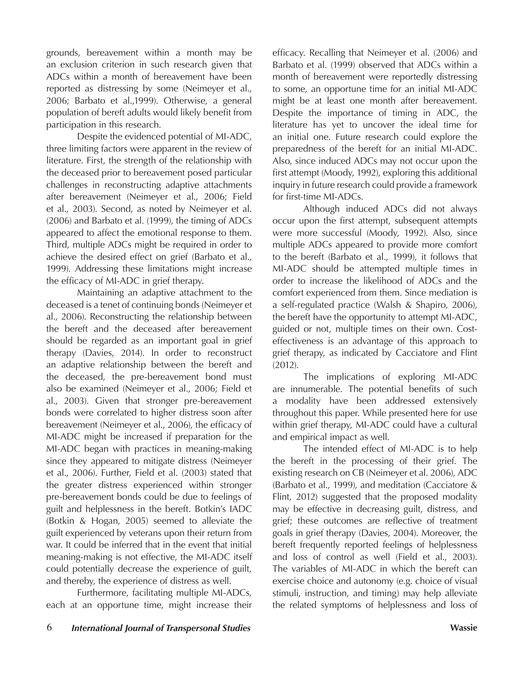grounds, bereavement within a month may be an exclusion criterion in such research given that ADCs within a month of bereavement have been reported as distressing by some (Neimeyer et al., 2006; Barbato et al.,1999). Otherwise, a general population of bereft adults would likely benefit from participation in this research.

Despite the evidenced potential of MI-ADC, three limiting factors were apparent in the review of literature. First, the strength of the relationship with the deceased prior to bereavement posed particular challenges in reconstructing adaptive attachments after bereavement (Neimeyer et al., 2006; Field et al., 2003). Second, as noted by Neimeyer et al. (2006) and Barbato et al. (1999), the timing of ADCs appeared to affect the emotional response to them. Third, multiple ADCs might be required in order to achieve the desired effect on grief (Barbato et al., 1999). Addressing these limitations might increase the efficacy of MI-ADC in grief therapy.

Maintaining an adaptive attachment to the deceased is a tenet of continuing bonds (Neimeyer et al., 2006). Reconstructing the relationship between the bereft and the deceased after bereavement should be regarded as an important goal in grief therapy (Davies, 2014). In order to reconstruct an adaptive relationship between the bereft and the deceased, the pre-bereavement bond must also be examined (Neimeyer et al., 2006; Field et al., 2003). Given that stronger pre-bereavement bonds were correlated to higher distress soon after bereavement (Neimeyer et al., 2006), the efficacy of MI-ADC might be increased if preparation for the MI-ADC began with practices in meaning-making since they appeared to mitigate distress (Neimeyer et al., 2006). Further, Field et al. (2003) stated that the greater distress experienced within stronger pre-bereavement bonds could be due to feelings of guilt and helplessness in the bereft. Botkin's IADC (Botkin & Hogan, 2005) seemed to alleviate the guilt experienced by veterans upon their return from war. It could be inferred that in the event that initial meaning-making is not effective, the MI-ADC itself could potentially decrease the experience of guilt, and thereby, the experience of distress as well.

Furthermore, facilitating multiple MI-ADCs, each at an opportune time, might increase their

6 *International Journal of Transpersonal Studies* **Wassie**

efficacy. Recalling that Neimeyer et al. (2006) and Barbato et al. (1999) observed that ADCs within a month of bereavement were reportedly distressing to some, an opportune time for an initial MI-ADC might be at least one month after bereavement. Despite the importance of timing in ADC, the literature has yet to uncover the ideal time for an initial one. Future research could explore the preparedness of the bereft for an initial MI-ADC. Also, since induced ADCs may not occur upon the first attempt (Moody, 1992), exploring this additional inquiry in future research could provide a framework for first-time MI-ADCs.

Although induced ADCs did not always occur upon the first attempt, subsequent attempts were more successful (Moody, 1992). Also, since multiple ADCs appeared to provide more comfort to the bereft (Barbato et al., 1999), it follows that MI-ADC should be attempted multiple times in order to increase the likelihood of ADCs and the comfort experienced from them. Since mediation is a self-regulated practice (Walsh & Shapiro, 2006), the bereft have the opportunity to attempt MI-ADC, guided or not, multiple times on their own. Costeffectiveness is an advantage of this approach to grief therapy, as indicated by Cacciatore and Flint (2012).

The implications of exploring MI-ADC are innumerable. The potential benefits of such a modality have been addressed extensively throughout this paper. While presented here for use within grief therapy, MI-ADC could have a cultural and empirical impact as well.

The intended effect of MI-ADC is to help the bereft in the processing of their grief. The existing research on CB (Neimeyer et al. 2006), ADC (Barbato et al., 1999), and meditation (Cacciatore & Flint, 2012) suggested that the proposed modality may be effective in decreasing guilt, distress, and grief; these outcomes are reflective of treatment goals in grief therapy (Davies, 2004). Moreover, the bereft frequently reported feelings of helplessness and loss of control as well (Field et al., 2003). The variables of MI-ADC in which the bereft can exercise choice and autonomy (e.g. choice of visual stimuli, instruction, and timing) may help alleviate the related symptoms of helplessness and loss of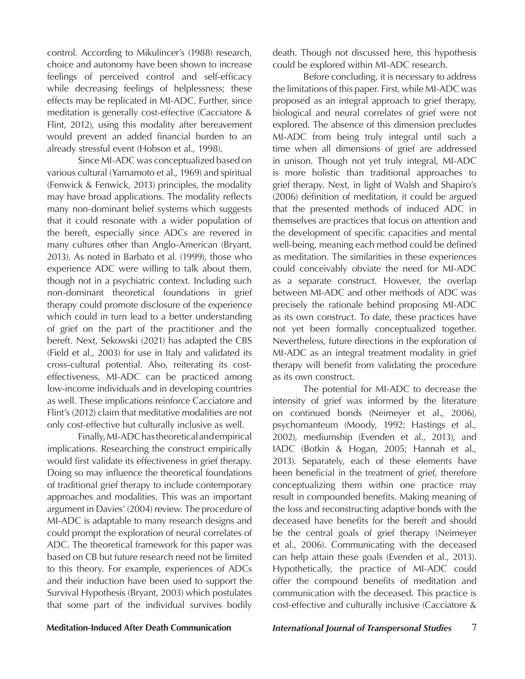control. According to Mikulincer's (1988) research, choice and autonomy have been shown to increase feelings of perceived control and self-efficacy while decreasing feelings of helplessness; these effects may be replicated in MI-ADC. Further, since meditation is generally cost-effective (Cacciatore & Flint, 2012), using this modality after bereavement would prevent an added financial burden to an already stressful event (Hobson et al., 1998).

Since MI-ADC was conceptualized based on various cultural (Yamamoto et al., 1969) and spiritual (Fenwick & Fenwick, 2013) principles, the modality may have broad applications. The modality reflects many non-dominant belief systems which suggests that it could resonate with a wider population of the bereft, especially since ADCs are revered in many cultures other than Anglo-American (Bryant, 2013). As noted in Barbato et al. (1999), those who experience ADC were willing to talk about them, though not in a psychiatric context. Including such non-dominant theoretical foundations in grief therapy could promote disclosure of the experience which could in turn lead to a better understanding of grief on the part of the practitioner and the bereft. Next, Sekowski (2021) has adapted the CBS (Field et al., 2003) for use in Italy and validated its cross-cultural potential. Also, reiterating its costeffectiveness, MI-ADC can be practiced among low-income individuals and in developing countries as well. These implications reinforce Cacciatore and Flint's (2012) claim that meditative modalities are not only cost-effective but culturally inclusive as well.

Finally, MI-ADC has theoretical and empirical implications. Researching the construct empirically would first validate its effectiveness in grief therapy. Doing so may influence the theoretical foundations of traditional grief therapy to include contemporary approaches and modalities. This was an important argument in Davies' (2004) review. The procedure of MI-ADC is adaptable to many research designs and could prompt the exploration of neural correlates of ADC. The theoretical framework for this paper was based on CB but future research need not be limited to this theory. For example, experiences of ADCs and their induction have been used to support the Survival Hypothesis (Bryant, 2003) which postulates that some part of the individual survives bodily death. Though not discussed here, this hypothesis could be explored within MI-ADC research.

Before concluding, it is necessary to address the limitations of this paper. First, while MI-ADC was proposed as an integral approach to grief therapy, biological and neural correlates of grief were not explored. The absence of this dimension precludes MI-ADC from being truly integral until such a time when all dimensions of grief are addressed in unison. Though not yet truly integral, MI-ADC is more holistic than traditional approaches to grief therapy. Next, in light of Walsh and Shapiro's (2006) definition of meditation, it could be argued that the presented methods of induced ADC in themselves are practices that focus on attention and the development of specific capacities and mental well-being, meaning each method could be defined as meditation. The similarities in these experiences could conceivably obviate the need for MI-ADC as a separate construct. However, the overlap between MI-ADC and other methods of ADC was precisely the rationale behind proposing MI-ADC as its own construct. To date, these practices have not yet been formally conceptualized together. Nevertheless, future directions in the exploration of MI-ADC as an integral treatment modality in grief therapy will benefit from validating the procedure as its own construct.

The potential for MI-ADC to decrease the intensity of grief was informed by the literature on continued bonds (Neimeyer et al., 2006), psychomanteum (Moody, 1992; Hastings et al., 2002), mediumship (Evenden et al., 2013), and IADC (Botkin & Hogan, 2005; Hannah et al., 2013). Separately, each of these elements have been beneficial in the treatment of grief, therefore conceptualizing them within one practice may result in compounded benefits. Making meaning of the loss and reconstructing adaptive bonds with the deceased have benefits for the bereft and should be the central goals of grief therapy (Neimeyer et al., 2006). Communicating with the deceased can help attain these goals (Evenden et al., 2013). Hypothetically, the practice of MI-ADC could offer the compound benefits of meditation and communication with the deceased. This practice is cost-effective and culturally inclusive (Cacciatore &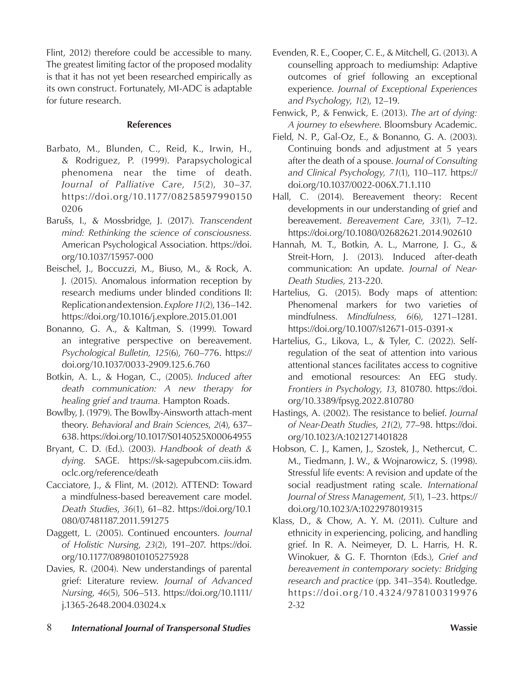Flint, 2012) therefore could be accessible to many. The greatest limiting factor of the proposed modality is that it has not yet been researched empirically as its own construct. Fortunately, MI-ADC is adaptable for future research.

### **References**

- Barbato, M., Blunden, C., Reid, K., Irwin, H., & Rodriguez, P. (1999). Parapsychological phenomena near the time of death. *Journal of Palliative Care*, *15*(2), 30–37. https://doi.org/10.1177/08258597990150 0206
- Barušs, I., & Mossbridge, J. (2017). *Transcendent mind: Rethinking the science of consciousness.* American Psychological Association. https://doi. org/10.1037/15957-000
- Beischel, J., Boccuzzi, M., Biuso, M., & Rock, A. J. (2015). Anomalous information reception by research mediums under blinded conditions II: Replication and extension. *Explore 11*(2), 136–142. https://doi.org/10.1016/j.explore.2015.01.001
- Bonanno, G. A., & Kaltman, S. (1999). Toward an integrative perspective on bereavement. *Psychological Bulletin, 125*(6), 760–776. https:// doi.org/10.1037/0033-2909.125.6.760
- Botkin, A. L., & Hogan, C., (2005). *Induced after death communication: A new therapy for healing grief and trauma.* Hampton Roads.
- Bowlby, J. (1979). The Bowlby-Ainsworth attach-ment theory. *Behavioral and Brain Sciences*, *2*(4), 637– 638. https://doi.org/10.1017/S0140525X00064955
- Bryant, C. D. (Ed.). (2003). *Handbook of death & dying*. SAGE. https://sk-sagepubcom.ciis.idm. oclc.org/reference/death
- Cacciatore, J., & Flint, M. (2012). ATTEND: Toward a mindfulness-based bereavement care model. *Death Studies*, *36*(1), 61–82. https://doi.org/10.1 080/07481187.2011.591275
- Daggett, L. (2005). Continued encounters. *Journal of Holistic Nursing*, *23*(2), 191–207. https://doi. org/10.1177/0898010105275928
- Davies, R. (2004). New understandings of parental grief: Literature review. *Journal of Advanced Nursing*, *46*(5), 506–513. https://doi.org/10.1111/ j.1365-2648.2004.03024.x
- Evenden, R. E., Cooper, C. E., & Mitchell, G. (2013). A counselling approach to mediumship: Adaptive outcomes of grief following an exceptional experience. *Journal of Exceptional Experiences and Psychology*, *1*(2), 12–19.
- Fenwick, P., & Fenwick, E. (2013). *The art of dying: A journey to elsewhere*. Bloomsbury Academic.
- Field, N. P., Gal-Oz, E., & Bonanno, G. A. (2003). Continuing bonds and adjustment at 5 years after the death of a spouse. *Journal of Consulting and Clinical Psychology, 71*(1), 110–117. https:// doi.org/10.1037/0022-006X.71.1.110
- Hall, C. (2014). Bereavement theory: Recent developments in our understanding of grief and bereavement. *Bereavement Care*, *33*(1), 7–12. https://doi.org/10.1080/02682621.2014.902610
- Hannah, M. T., Botkin, A. L., Marrone, J. G., & Streit-Horn, J. (2013). Induced after-death communication: An update. *Journal of Near-Death Studies,* 213-220.
- Hartelius, G. (2015). Body maps of attention: Phenomenal markers for two varieties of mindfulness. *Mindfulness, 6*(6), 1271–1281. https://doi.org/10.1007/s12671-015-0391-x
- Hartelius, G., Likova, L., & Tyler, C. (2022). Selfregulation of the seat of attention into various attentional stances facilitates access to cognitive and emotional resources: An EEG study. *Frontiers in Psychology*, *13*, 810780. https://doi. org/10.3389/fpsyg.2022.810780
- Hastings, A. (2002). The resistance to belief. *Journal of Near-Death Studies*, *21*(2), 77–98. https://doi. org/10.1023/A:1021271401828
- Hobson, C. J., Kamen, J., Szostek, J., Nethercut, C. M., Tiedmann, J. W., & Wojnarowicz, S. (1998). Stressful life events: A revision and update of the social readjustment rating scale. *International Journal of Stress Management*, *5*(1), 1–23. https:// doi.org/10.1023/A:1022978019315
- Klass, D., & Chow, A. Y. M. (2011). Culture and ethnicity in experiencing, policing, and handling grief. In R. A. Neimeyer, D. L. Harris, H. R. Winokuer, & G. F. Thornton (Eds.), *Grief and bereavement in contemporary society: Bridging research and practice* (pp. 341–354). Routledge. https://doi.org/10.4324/978100319976 2-32
- 8 *International Journal of Transpersonal Studies* **Wassie**